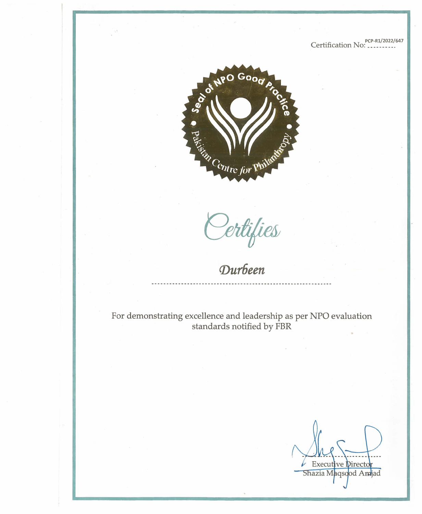PCP-R1/2022/647



Sertifies<br>Durbeen

For demonstrating excellence and leadership as per NPO evaluation standards notified by FBR

**Executive Directo** Shazia Maqsood Amjad